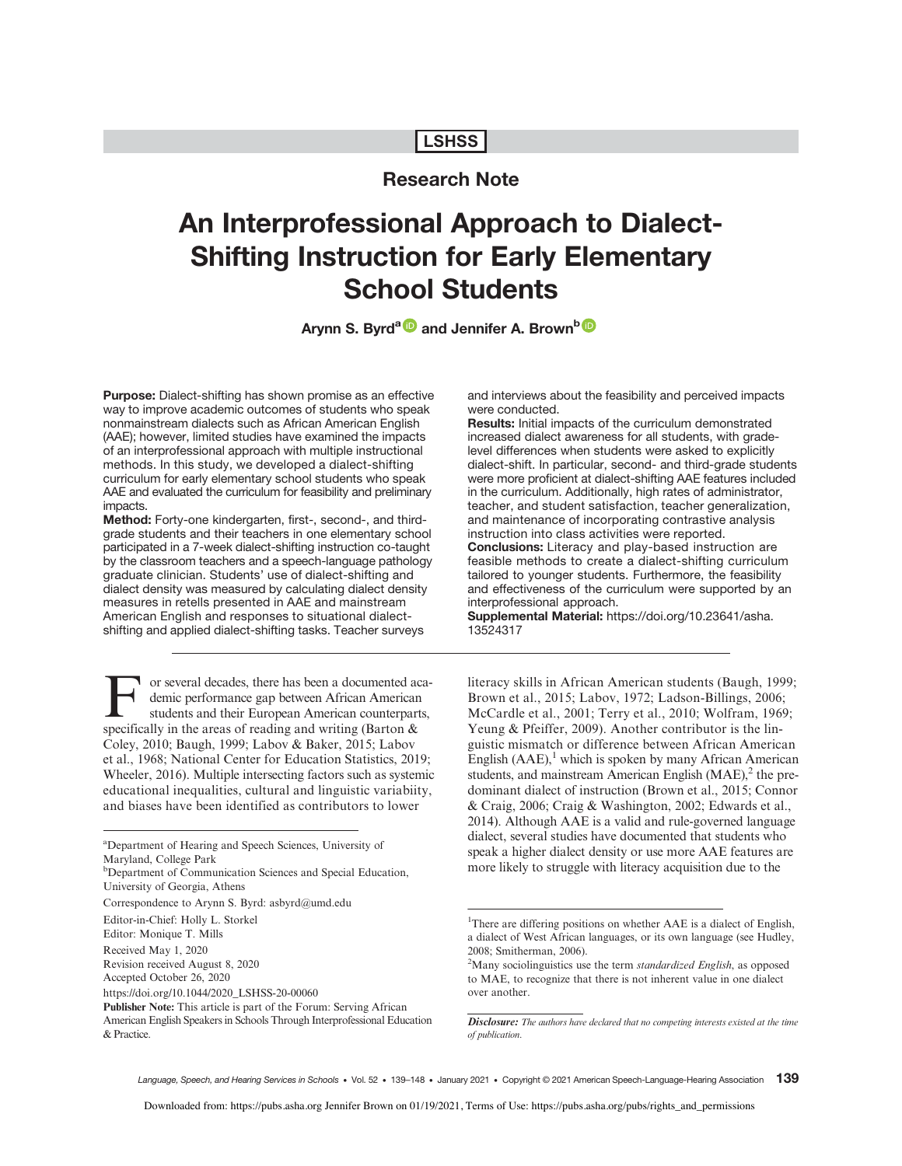# **LSHSS**

# Research Note

# An Interprofessional Approach to Dialect-Shifting Instruction for Early Elementary School Students

Arynn S. Byrd<sup>a (D</sup> and Jennifer A. Brown<sup>b (D</sup>

Purpose: Dialect-shifting has shown promise as an effective way to improve academic outcomes of students who speak nonmainstream dialects such as African American English (AAE); however, limited studies have examined the impacts of an interprofessional approach with multiple instructional methods. In this study, we developed a dialect-shifting curriculum for early elementary school students who speak AAE and evaluated the curriculum for feasibility and preliminary impacts.

Method: Forty-one kindergarten, first-, second-, and thirdgrade students and their teachers in one elementary school participated in a 7-week dialect-shifting instruction co-taught by the classroom teachers and a speech-language pathology graduate clinician. Students' use of dialect-shifting and dialect density was measured by calculating dialect density measures in retells presented in AAE and mainstream American English and responses to situational dialectshifting and applied dialect-shifting tasks. Teacher surveys

For several decades, there has been a documented aca-<br>demic performance gap between African American<br>students and their European American counterparts, demic performance gap between African American students and their European American counterparts, specifically in the areas of reading and writing (Barton & Coley, 2010; Baugh, 1999; Labov & Baker, 2015; Labov et al., 1968; National Center for Education Statistics, 2019; Wheeler, 2016). Multiple intersecting factors such as systemic educational inequalities, cultural and linguistic variabiity, and biases have been identified as contributors to lower

Correspondence to Arynn S. Byrd: asbyrd@umd.edu

and interviews about the feasibility and perceived impacts were conducted.

Results: Initial impacts of the curriculum demonstrated increased dialect awareness for all students, with gradelevel differences when students were asked to explicitly dialect-shift. In particular, second- and third-grade students were more proficient at dialect-shifting AAE features included in the curriculum. Additionally, high rates of administrator, teacher, and student satisfaction, teacher generalization, and maintenance of incorporating contrastive analysis instruction into class activities were reported. Conclusions: Literacy and play-based instruction are feasible methods to create a dialect-shifting curriculum tailored to younger students. Furthermore, the feasibility and effectiveness of the curriculum were supported by an interprofessional approach.

Supplemental Material: [https://doi.org/10.23641/asha.](https://doi.org/10.23641/asha.13524317) [13524317](https://doi.org/10.23641/asha.13524317)

literacy skills in African American students (Baugh, 1999; Brown et al., 2015; Labov, 1972; Ladson-Billings, 2006; McCardle et al., 2001; Terry et al., 2010; Wolfram, 1969; Yeung & Pfeiffer, 2009). Another contributor is the linguistic mismatch or difference between African American English  $(AAE)$ ,<sup>1</sup> which is spoken by many African American students, and mainstream American English  $(MAE)$ ,<sup>2</sup> the predominant dialect of instruction (Brown et al., 2015; Connor & Craig, 2006; Craig & Washington, 2002; Edwards et al., 2014). Although AAE is a valid and rule-governed language dialect, several studies have documented that students who speak a higher dialect density or use more AAE features are more likely to struggle with literacy acquisition due to the

a Department of Hearing and Speech Sciences, University of Maryland, College Park

**b**Department of Communication Sciences and Special Education, University of Georgia, Athens

Editor-in-Chief: Holly L. Storkel

Editor: Monique T. Mills

Received May 1, 2020

Revision received August 8, 2020

Accepted October 26, 2020

https://doi.org/10.1044/2020\_LSHSS-20-00060

Publisher Note: This article is part of the Forum: Serving African

American English Speakers in Schools Through Interprofessional Education & Practice.

<sup>&</sup>lt;sup>1</sup>There are differing positions on whether AAE is a dialect of English, a dialect of West African languages, or its own language (see Hudley, 2008; Smitherman, 2006).

 $2$ Many sociolinguistics use the term *standardized English*, as opposed to MAE, to recognize that there is not inherent value in one dialect over another.

Disclosure: The authors have declared that no competing interests existed at the time of publication.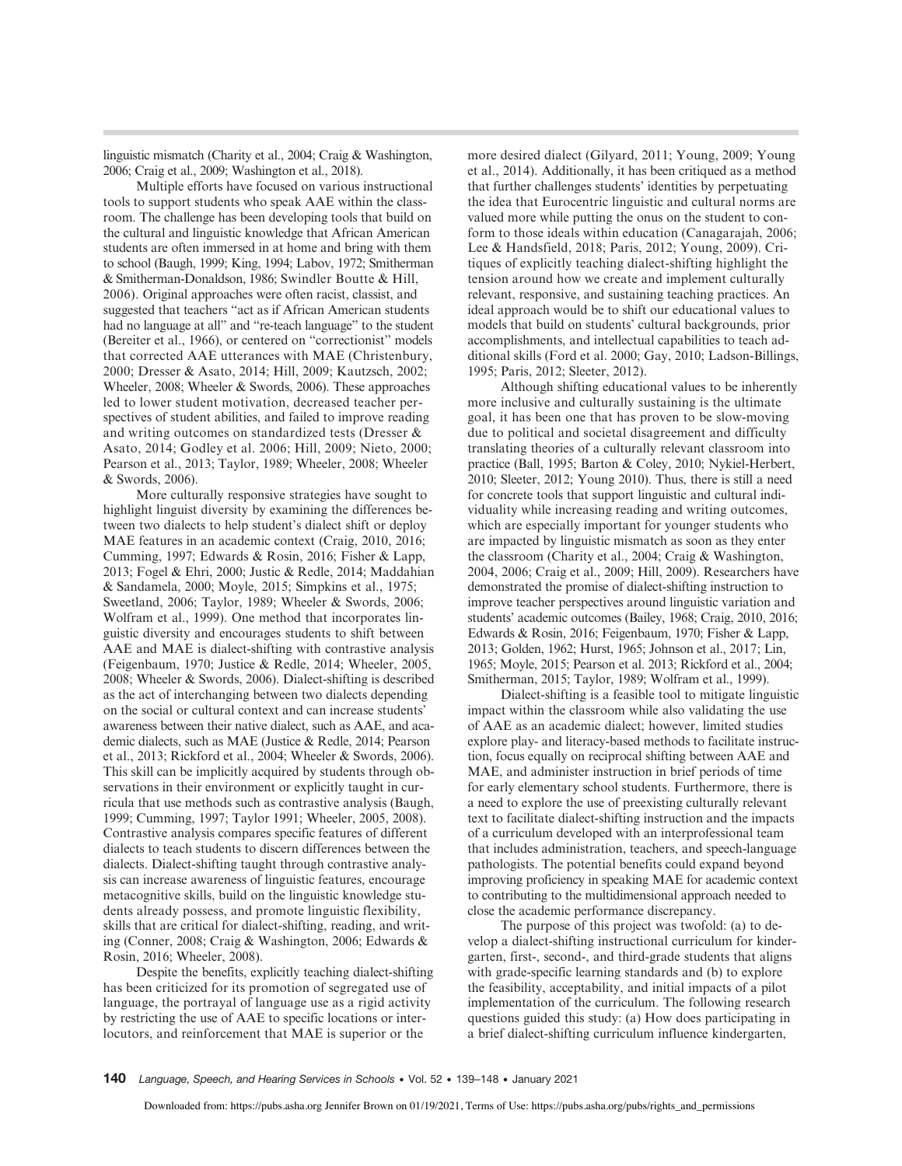linguistic mismatch (Charity et al., 2004; Craig & Washington, 2006; Craig et al., 2009; Washington et al., 2018).

Multiple efforts have focused on various instructional tools to support students who speak AAE within the classroom. The challenge has been developing tools that build on the cultural and linguistic knowledge that African American students are often immersed in at home and bring with them to school (Baugh, 1999; King, 1994; Labov, 1972; Smitherman & Smitherman-Donaldson, 1986; Swindler Boutte & Hill, 2006). Original approaches were often racist, classist, and suggested that teachers "act as if African American students had no language at all" and "re-teach language" to the student (Bereiter et al., 1966), or centered on "correctionist" models that corrected AAE utterances with MAE (Christenbury, 2000; Dresser & Asato, 2014; Hill, 2009; Kautzsch, 2002; Wheeler, 2008; Wheeler & Swords, 2006). These approaches led to lower student motivation, decreased teacher perspectives of student abilities, and failed to improve reading and writing outcomes on standardized tests (Dresser & Asato, 2014; Godley et al. 2006; Hill, 2009; Nieto, 2000; Pearson et al., 2013; Taylor, 1989; Wheeler, 2008; Wheeler & Swords, 2006).

More culturally responsive strategies have sought to highlight linguist diversity by examining the differences between two dialects to help student's dialect shift or deploy MAE features in an academic context (Craig, 2010, 2016; Cumming, 1997; Edwards & Rosin, 2016; Fisher & Lapp, 2013; Fogel & Ehri, 2000; Justic & Redle, 2014; Maddahian & Sandamela, 2000; Moyle, 2015; Simpkins et al., 1975; Sweetland, 2006; Taylor, 1989; Wheeler & Swords, 2006; Wolfram et al., 1999). One method that incorporates linguistic diversity and encourages students to shift between AAE and MAE is dialect-shifting with contrastive analysis (Feigenbaum, 1970; Justice & Redle, 2014; Wheeler, 2005, 2008; Wheeler & Swords, 2006). Dialect-shifting is described as the act of interchanging between two dialects depending on the social or cultural context and can increase students' awareness between their native dialect, such as AAE, and academic dialects, such as MAE (Justice & Redle, 2014; Pearson et al., 2013; Rickford et al., 2004; Wheeler & Swords, 2006). This skill can be implicitly acquired by students through observations in their environment or explicitly taught in curricula that use methods such as contrastive analysis (Baugh, 1999; Cumming, 1997; Taylor 1991; Wheeler, 2005, 2008). Contrastive analysis compares specific features of different dialects to teach students to discern differences between the dialects. Dialect-shifting taught through contrastive analysis can increase awareness of linguistic features, encourage metacognitive skills, build on the linguistic knowledge students already possess, and promote linguistic flexibility, skills that are critical for dialect-shifting, reading, and writing (Conner, 2008; Craig & Washington, 2006; Edwards & Rosin, 2016; Wheeler, 2008).

Despite the benefits, explicitly teaching dialect-shifting has been criticized for its promotion of segregated use of language, the portrayal of language use as a rigid activity by restricting the use of AAE to specific locations or interlocutors, and reinforcement that MAE is superior or the

more desired dialect (Gilyard, 2011; Young, 2009; Young et al., 2014). Additionally, it has been critiqued as a method that further challenges students' identities by perpetuating the idea that Eurocentric linguistic and cultural norms are valued more while putting the onus on the student to conform to those ideals within education (Canagarajah, 2006; Lee & Handsfield, 2018; Paris, 2012; Young, 2009). Critiques of explicitly teaching dialect-shifting highlight the tension around how we create and implement culturally relevant, responsive, and sustaining teaching practices. An ideal approach would be to shift our educational values to models that build on students' cultural backgrounds, prior accomplishments, and intellectual capabilities to teach additional skills (Ford et al. 2000; Gay, 2010; Ladson-Billings, 1995; Paris, 2012; Sleeter, 2012).

Although shifting educational values to be inherently more inclusive and culturally sustaining is the ultimate goal, it has been one that has proven to be slow-moving due to political and societal disagreement and difficulty translating theories of a culturally relevant classroom into practice (Ball, 1995; Barton & Coley, 2010; Nykiel-Herbert, 2010; Sleeter, 2012; Young 2010). Thus, there is still a need for concrete tools that support linguistic and cultural individuality while increasing reading and writing outcomes, which are especially important for younger students who are impacted by linguistic mismatch as soon as they enter the classroom (Charity et al., 2004; Craig & Washington, 2004, 2006; Craig et al., 2009; Hill, 2009). Researchers have demonstrated the promise of dialect-shifting instruction to improve teacher perspectives around linguistic variation and students' academic outcomes (Bailey, 1968; Craig, 2010, 2016; Edwards & Rosin, 2016; Feigenbaum, 1970; Fisher & Lapp, 2013; Golden, 1962; Hurst, 1965; Johnson et al., 2017; Lin, 1965; Moyle, 2015; Pearson et al. 2013; Rickford et al., 2004; Smitherman, 2015; Taylor, 1989; Wolfram et al., 1999).

Dialect-shifting is a feasible tool to mitigate linguistic impact within the classroom while also validating the use of AAE as an academic dialect; however, limited studies explore play- and literacy-based methods to facilitate instruction, focus equally on reciprocal shifting between AAE and MAE, and administer instruction in brief periods of time for early elementary school students. Furthermore, there is a need to explore the use of preexisting culturally relevant text to facilitate dialect-shifting instruction and the impacts of a curriculum developed with an interprofessional team that includes administration, teachers, and speech-language pathologists. The potential benefits could expand beyond improving proficiency in speaking MAE for academic context to contributing to the multidimensional approach needed to close the academic performance discrepancy.

The purpose of this project was twofold: (a) to develop a dialect-shifting instructional curriculum for kindergarten, first-, second-, and third-grade students that aligns with grade-specific learning standards and (b) to explore the feasibility, acceptability, and initial impacts of a pilot implementation of the curriculum. The following research questions guided this study: (a) How does participating in a brief dialect-shifting curriculum influence kindergarten,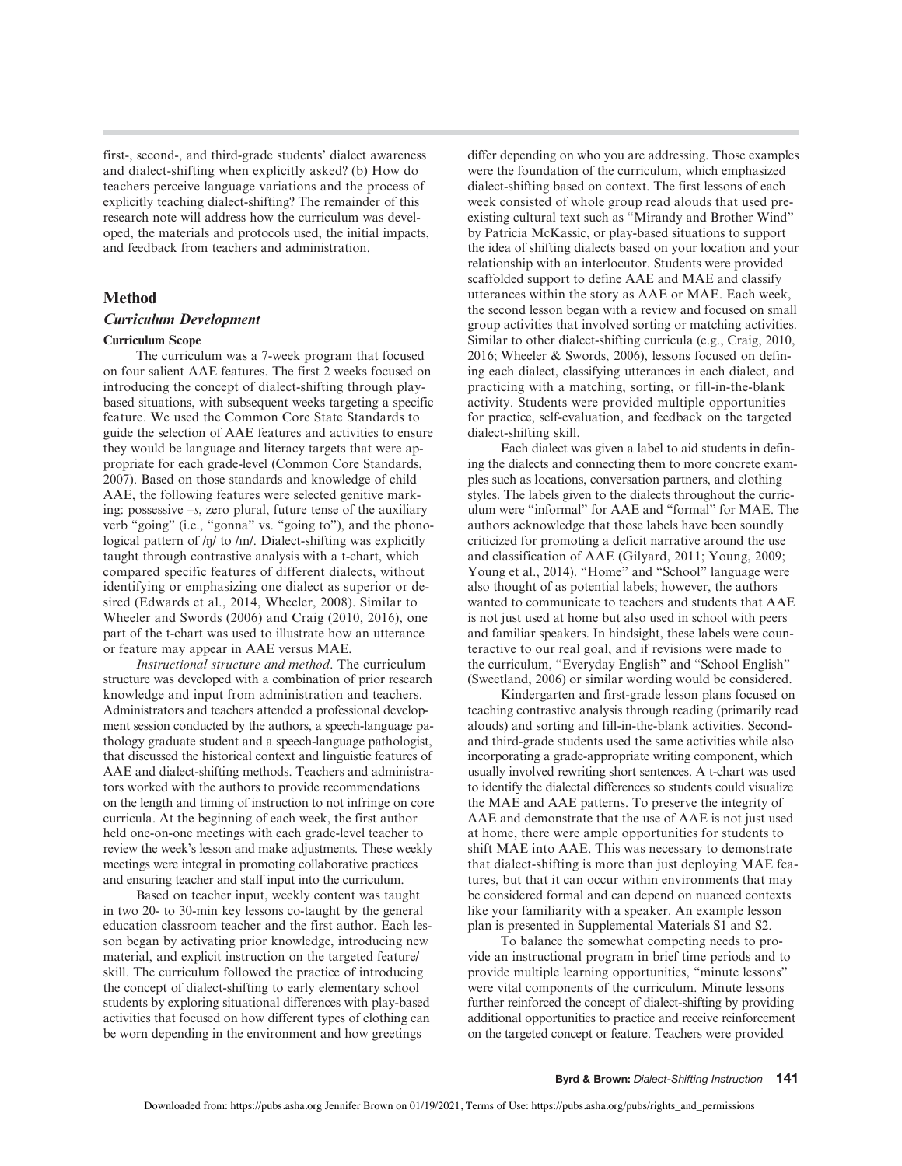first-, second-, and third-grade students' dialect awareness and dialect-shifting when explicitly asked? (b) How do teachers perceive language variations and the process of explicitly teaching dialect-shifting? The remainder of this research note will address how the curriculum was developed, the materials and protocols used, the initial impacts, and feedback from teachers and administration.

# Method

#### Curriculum Development

#### Curriculum Scope

The curriculum was a 7-week program that focused on four salient AAE features. The first 2 weeks focused on introducing the concept of dialect-shifting through playbased situations, with subsequent weeks targeting a specific feature. We used the Common Core State Standards to guide the selection of AAE features and activities to ensure they would be language and literacy targets that were appropriate for each grade-level (Common Core Standards, 2007). Based on those standards and knowledge of child AAE, the following features were selected genitive marking: possessive  $-s$ , zero plural, future tense of the auxiliary verb "going" (i.e., "gonna" vs. "going to"), and the phonological pattern of  $/\eta$  to  $/\eta$ . Dialect-shifting was explicitly taught through contrastive analysis with a t-chart, which compared specific features of different dialects, without identifying or emphasizing one dialect as superior or desired (Edwards et al., 2014, Wheeler, 2008). Similar to Wheeler and Swords (2006) and Craig (2010, 2016), one part of the t-chart was used to illustrate how an utterance or feature may appear in AAE versus MAE.

Instructional structure and method. The curriculum structure was developed with a combination of prior research knowledge and input from administration and teachers. Administrators and teachers attended a professional development session conducted by the authors, a speech-language pathology graduate student and a speech-language pathologist, that discussed the historical context and linguistic features of AAE and dialect-shifting methods. Teachers and administrators worked with the authors to provide recommendations on the length and timing of instruction to not infringe on core curricula. At the beginning of each week, the first author held one-on-one meetings with each grade-level teacher to review the week's lesson and make adjustments. These weekly meetings were integral in promoting collaborative practices and ensuring teacher and staff input into the curriculum.

Based on teacher input, weekly content was taught in two 20- to 30-min key lessons co-taught by the general education classroom teacher and the first author. Each lesson began by activating prior knowledge, introducing new material, and explicit instruction on the targeted feature/ skill. The curriculum followed the practice of introducing the concept of dialect-shifting to early elementary school students by exploring situational differences with play-based activities that focused on how different types of clothing can be worn depending in the environment and how greetings

differ depending on who you are addressing. Those examples were the foundation of the curriculum, which emphasized dialect-shifting based on context. The first lessons of each week consisted of whole group read alouds that used preexisting cultural text such as "Mirandy and Brother Wind" by Patricia McKassic, or play-based situations to support the idea of shifting dialects based on your location and your relationship with an interlocutor. Students were provided scaffolded support to define AAE and MAE and classify utterances within the story as AAE or MAE. Each week, the second lesson began with a review and focused on small group activities that involved sorting or matching activities. Similar to other dialect-shifting curricula (e.g., Craig, 2010, 2016; Wheeler & Swords, 2006), lessons focused on defining each dialect, classifying utterances in each dialect, and practicing with a matching, sorting, or fill-in-the-blank activity. Students were provided multiple opportunities for practice, self-evaluation, and feedback on the targeted dialect-shifting skill.

Each dialect was given a label to aid students in defining the dialects and connecting them to more concrete examples such as locations, conversation partners, and clothing styles. The labels given to the dialects throughout the curriculum were "informal" for AAE and "formal" for MAE. The authors acknowledge that those labels have been soundly criticized for promoting a deficit narrative around the use and classification of AAE (Gilyard, 2011; Young, 2009; Young et al., 2014). "Home" and "School" language were also thought of as potential labels; however, the authors wanted to communicate to teachers and students that AAE is not just used at home but also used in school with peers and familiar speakers. In hindsight, these labels were counteractive to our real goal, and if revisions were made to the curriculum, "Everyday English" and "School English" (Sweetland, 2006) or similar wording would be considered.

Kindergarten and first-grade lesson plans focused on teaching contrastive analysis through reading (primarily read alouds) and sorting and fill-in-the-blank activities. Secondand third-grade students used the same activities while also incorporating a grade-appropriate writing component, which usually involved rewriting short sentences. A t-chart was used to identify the dialectal differences so students could visualize the MAE and AAE patterns. To preserve the integrity of AAE and demonstrate that the use of AAE is not just used at home, there were ample opportunities for students to shift MAE into AAE. This was necessary to demonstrate that dialect-shifting is more than just deploying MAE features, but that it can occur within environments that may be considered formal and can depend on nuanced contexts like your familiarity with a speaker. An example lesson plan is presented in Supplemental Materials S1 and S2.

To balance the somewhat competing needs to provide an instructional program in brief time periods and to provide multiple learning opportunities, "minute lessons" were vital components of the curriculum. Minute lessons further reinforced the concept of dialect-shifting by providing additional opportunities to practice and receive reinforcement on the targeted concept or feature. Teachers were provided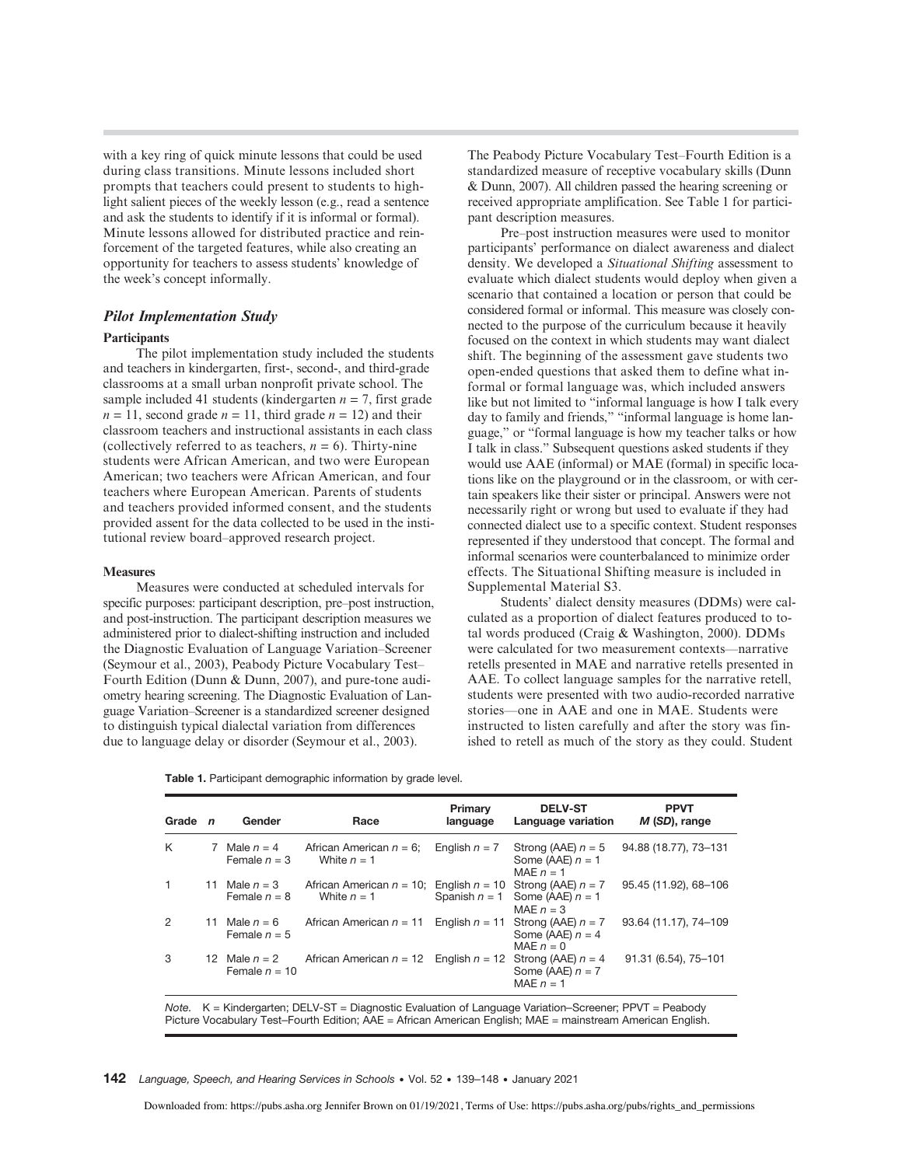with a key ring of quick minute lessons that could be used during class transitions. Minute lessons included short prompts that teachers could present to students to highlight salient pieces of the weekly lesson (e.g., read a sentence and ask the students to identify if it is informal or formal). Minute lessons allowed for distributed practice and reinforcement of the targeted features, while also creating an opportunity for teachers to assess students' knowledge of the week's concept informally.

# Pilot Implementation Study

#### **Participants**

The pilot implementation study included the students and teachers in kindergarten, first-, second-, and third-grade classrooms at a small urban nonprofit private school. The sample included 41 students (kindergarten  $n = 7$ , first grade  $n = 11$ , second grade  $n = 11$ , third grade  $n = 12$ ) and their classroom teachers and instructional assistants in each class (collectively referred to as teachers,  $n = 6$ ). Thirty-nine students were African American, and two were European American; two teachers were African American, and four teachers where European American. Parents of students and teachers provided informed consent, and the students provided assent for the data collected to be used in the institutional review board–approved research project.

#### **Measures**

Measures were conducted at scheduled intervals for specific purposes: participant description, pre–post instruction, and post-instruction. The participant description measures we administered prior to dialect-shifting instruction and included the Diagnostic Evaluation of Language Variation–Screener (Seymour et al., 2003), Peabody Picture Vocabulary Test– Fourth Edition (Dunn & Dunn, 2007), and pure-tone audiometry hearing screening. The Diagnostic Evaluation of Language Variation–Screener is a standardized screener designed to distinguish typical dialectal variation from differences due to language delay or disorder (Seymour et al., 2003).

|  |  | Table 1. Participant demographic information by grade level. |  |  |  |  |
|--|--|--------------------------------------------------------------|--|--|--|--|
|--|--|--------------------------------------------------------------|--|--|--|--|

| Grade        | $\mathbf n$ | Gender                           | Race                                                          | Primary<br>language | <b>DELV-ST</b><br>Language variation                      | <b>PPVT</b><br>M (SD), range |
|--------------|-------------|----------------------------------|---------------------------------------------------------------|---------------------|-----------------------------------------------------------|------------------------------|
| K            |             | 7 Male $n = 4$<br>Female $n = 3$ | African American $n = 6$ ;<br>White $n = 1$                   | English $n = 7$     | Strong (AAE) $n = 5$<br>Some (AAE) $n = 1$<br>MAE $n = 1$ | 94.88 (18.77), 73-131        |
| $\mathbf{1}$ | 11          | Male $n = 3$<br>Female $n = 8$   | African American $n = 10$ ; English $n = 10$<br>White $n = 1$ | Spanish $n = 1$     | Strong (AAE) $n = 7$<br>Some (AAE) $n = 1$<br>MAF $n = 3$ | 95.45 (11.92), 68-106        |
| 2            | 11.         | Male $n = 6$<br>Female $n = 5$   | African American $n = 11$                                     | English $n = 11$    | Strong (AAE) $n = 7$<br>Some (AAE) $n = 4$<br>MAE $n = 0$ | 93.64 (11.17), 74-109        |
| 3            | 12.         | Male $n = 2$<br>Female $n = 10$  | African American $n = 12$                                     | English $n = 12$    | Strong (AAE) $n = 4$<br>Some (AAE) $n = 7$<br>MAE $n = 1$ | 91.31 (6.54), 75-101         |

Note. K = Kindergarten; DELV-ST = Diagnostic Evaluation of Language Variation–Screener; PPVT = Peabody Picture Vocabulary Test–Fourth Edition; AAE = African American English; MAE = mainstream American English.

142 Language, Speech, and Hearing Services in Schools • Vol. 52 • 139–148 • January 2021

Downloaded from: https://pubs.asha.org Jennifer Brown on 01/19/2021, Terms of Use: https://pubs.asha.org/pubs/rights\_and\_permissions

The Peabody Picture Vocabulary Test–Fourth Edition is a standardized measure of receptive vocabulary skills (Dunn & Dunn, 2007). All children passed the hearing screening or received appropriate amplification. See Table 1 for participant description measures.

Pre–post instruction measures were used to monitor participants' performance on dialect awareness and dialect density. We developed a Situational Shifting assessment to evaluate which dialect students would deploy when given a scenario that contained a location or person that could be considered formal or informal. This measure was closely connected to the purpose of the curriculum because it heavily focused on the context in which students may want dialect shift. The beginning of the assessment gave students two open-ended questions that asked them to define what informal or formal language was, which included answers like but not limited to "informal language is how I talk every day to family and friends," "informal language is home language," or "formal language is how my teacher talks or how I talk in class." Subsequent questions asked students if they would use AAE (informal) or MAE (formal) in specific locations like on the playground or in the classroom, or with certain speakers like their sister or principal. Answers were not necessarily right or wrong but used to evaluate if they had connected dialect use to a specific context. Student responses represented if they understood that concept. The formal and informal scenarios were counterbalanced to minimize order effects. The Situational Shifting measure is included in Supplemental Material S3.

Students' dialect density measures (DDMs) were calculated as a proportion of dialect features produced to total words produced (Craig & Washington, 2000). DDMs were calculated for two measurement contexts—narrative retells presented in MAE and narrative retells presented in AAE. To collect language samples for the narrative retell, students were presented with two audio-recorded narrative stories—one in AAE and one in MAE. Students were instructed to listen carefully and after the story was finished to retell as much of the story as they could. Student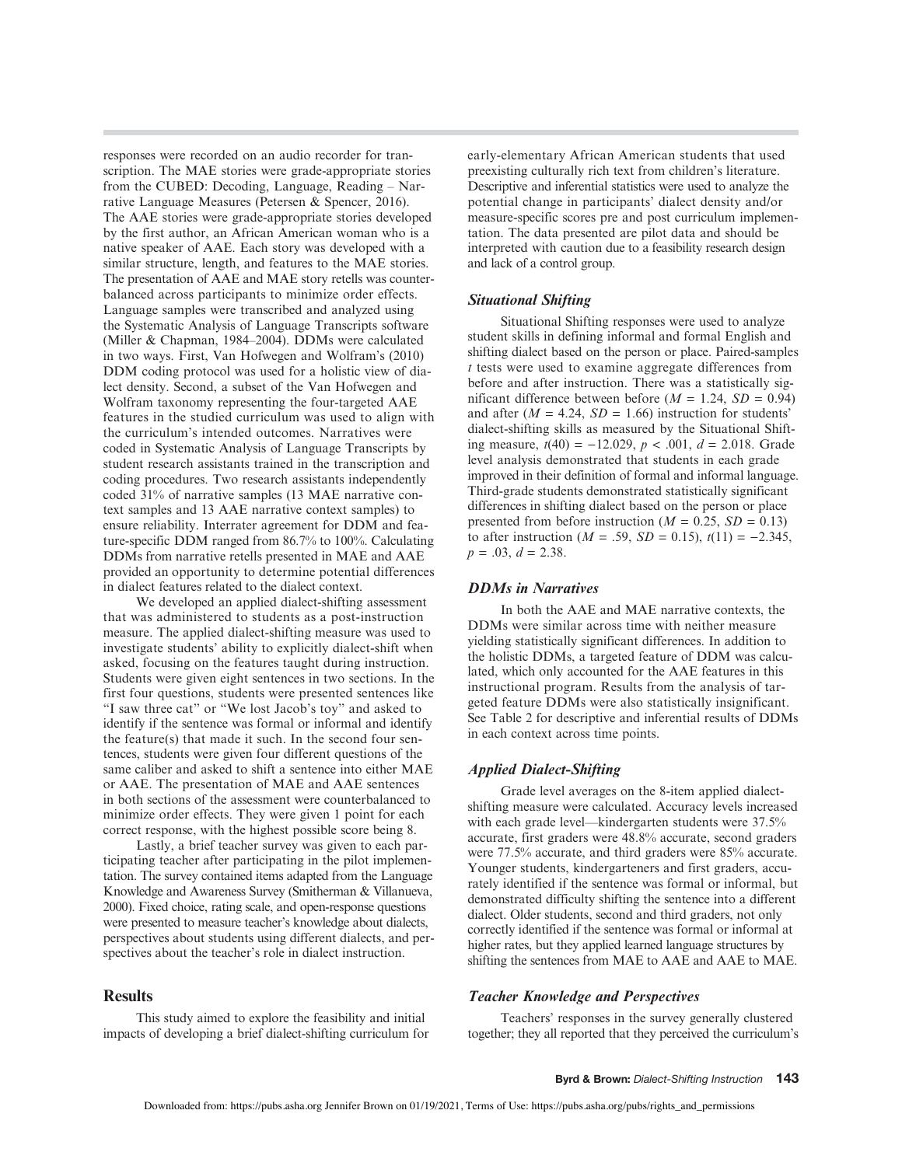responses were recorded on an audio recorder for transcription. The MAE stories were grade-appropriate stories from the CUBED: Decoding, Language, Reading – Narrative Language Measures (Petersen & Spencer, 2016). The AAE stories were grade-appropriate stories developed by the first author, an African American woman who is a native speaker of AAE. Each story was developed with a similar structure, length, and features to the MAE stories. The presentation of AAE and MAE story retells was counterbalanced across participants to minimize order effects. Language samples were transcribed and analyzed using the Systematic Analysis of Language Transcripts software (Miller & Chapman, 1984–2004). DDMs were calculated in two ways. First, Van Hofwegen and Wolfram's (2010) DDM coding protocol was used for a holistic view of dialect density. Second, a subset of the Van Hofwegen and Wolfram taxonomy representing the four-targeted AAE features in the studied curriculum was used to align with the curriculum's intended outcomes. Narratives were coded in Systematic Analysis of Language Transcripts by student research assistants trained in the transcription and coding procedures. Two research assistants independently coded 31% of narrative samples (13 MAE narrative context samples and 13 AAE narrative context samples) to ensure reliability. Interrater agreement for DDM and feature-specific DDM ranged from 86.7% to 100%. Calculating DDMs from narrative retells presented in MAE and AAE provided an opportunity to determine potential differences in dialect features related to the dialect context.

We developed an applied dialect-shifting assessment that was administered to students as a post-instruction measure. The applied dialect-shifting measure was used to investigate students' ability to explicitly dialect-shift when asked, focusing on the features taught during instruction. Students were given eight sentences in two sections. In the first four questions, students were presented sentences like "I saw three cat" or "We lost Jacob's toy" and asked to identify if the sentence was formal or informal and identify the feature(s) that made it such. In the second four sentences, students were given four different questions of the same caliber and asked to shift a sentence into either MAE or AAE. The presentation of MAE and AAE sentences in both sections of the assessment were counterbalanced to minimize order effects. They were given 1 point for each correct response, with the highest possible score being 8.

Lastly, a brief teacher survey was given to each participating teacher after participating in the pilot implementation. The survey contained items adapted from the Language Knowledge and Awareness Survey (Smitherman & Villanueva, 2000). Fixed choice, rating scale, and open-response questions were presented to measure teacher's knowledge about dialects, perspectives about students using different dialects, and perspectives about the teacher's role in dialect instruction.

# **Results**

This study aimed to explore the feasibility and initial impacts of developing a brief dialect-shifting curriculum for early-elementary African American students that used preexisting culturally rich text from children's literature. Descriptive and inferential statistics were used to analyze the potential change in participants' dialect density and/or measure-specific scores pre and post curriculum implementation. The data presented are pilot data and should be interpreted with caution due to a feasibility research design and lack of a control group.

# Situational Shifting

Situational Shifting responses were used to analyze student skills in defining informal and formal English and shifting dialect based on the person or place. Paired-samples t tests were used to examine aggregate differences from before and after instruction. There was a statistically significant difference between before ( $M = 1.24$ ,  $SD = 0.94$ ) and after  $(M = 4.24, SD = 1.66)$  instruction for students' dialect-shifting skills as measured by the Situational Shifting measure,  $t(40) = −12.029$ ,  $p < .001$ ,  $d = 2.018$ . Grade level analysis demonstrated that students in each grade improved in their definition of formal and informal language. Third-grade students demonstrated statistically significant differences in shifting dialect based on the person or place presented from before instruction ( $M = 0.25$ ,  $SD = 0.13$ ) to after instruction ( $M = .59$ ,  $SD = 0.15$ ),  $t(11) = -2.345$ ,  $p = .03$ ,  $d = 2.38$ .

#### DDMs in Narratives

In both the AAE and MAE narrative contexts, the DDMs were similar across time with neither measure yielding statistically significant differences. In addition to the holistic DDMs, a targeted feature of DDM was calculated, which only accounted for the AAE features in this instructional program. Results from the analysis of targeted feature DDMs were also statistically insignificant. See Table 2 for descriptive and inferential results of DDMs in each context across time points.

#### Applied Dialect-Shifting

Grade level averages on the 8-item applied dialectshifting measure were calculated. Accuracy levels increased with each grade level—kindergarten students were 37.5% accurate, first graders were 48.8% accurate, second graders were 77.5% accurate, and third graders were 85% accurate. Younger students, kindergarteners and first graders, accurately identified if the sentence was formal or informal, but demonstrated difficulty shifting the sentence into a different dialect. Older students, second and third graders, not only correctly identified if the sentence was formal or informal at higher rates, but they applied learned language structures by shifting the sentences from MAE to AAE and AAE to MAE.

# Teacher Knowledge and Perspectives

Teachers' responses in the survey generally clustered together; they all reported that they perceived the curriculum's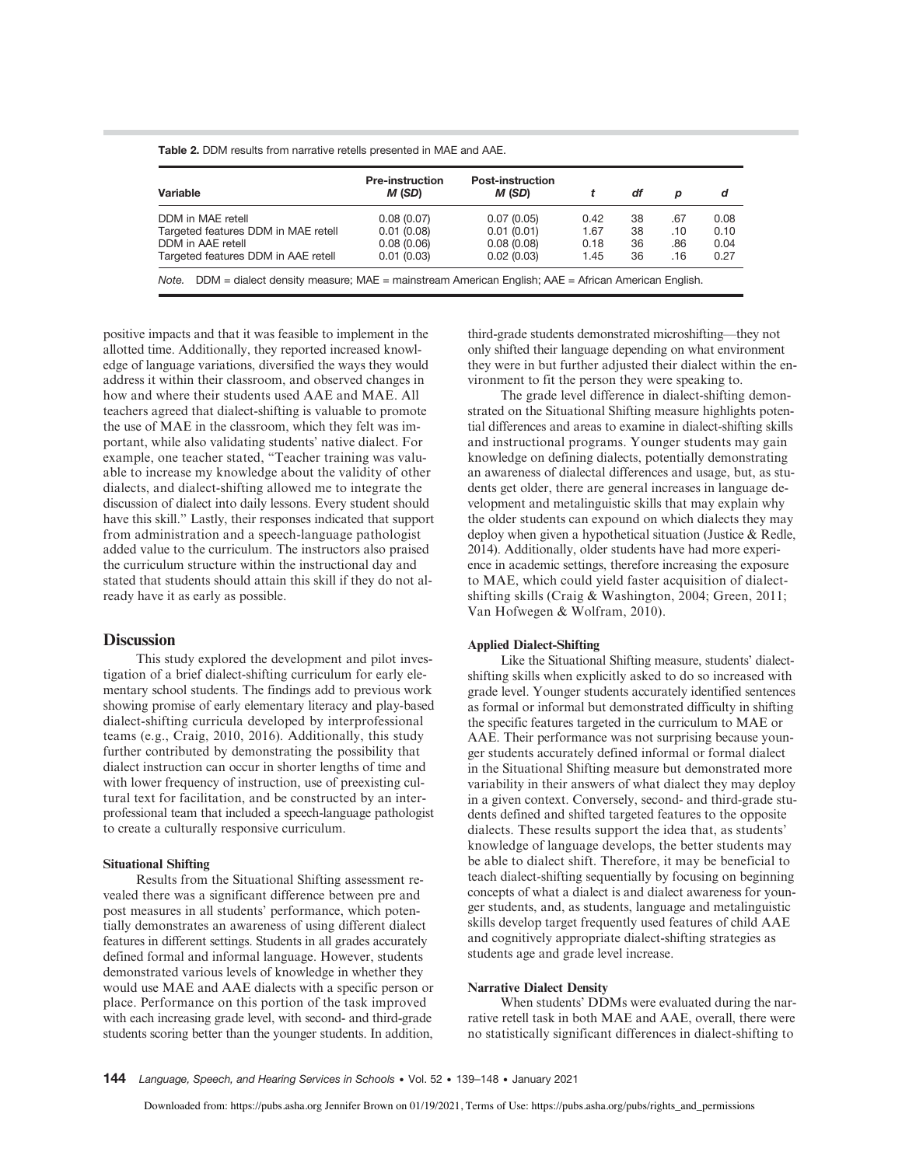| Variable                            | <b>Pre-instruction</b><br>M (SD) | <b>Post-instruction</b><br>M (SD) |      | df | p   | d    |
|-------------------------------------|----------------------------------|-----------------------------------|------|----|-----|------|
| DDM in MAE retell                   | 0.08(0.07)                       | 0.07(0.05)                        | 0.42 | 38 | .67 | 0.08 |
| Targeted features DDM in MAE retell | 0.01(0.08)                       | 0.01(0.01)                        | 1.67 | 38 | .10 | 0.10 |
| DDM in AAE retell                   | 0.08(0.06)                       | 0.08(0.08)                        | 0.18 | 36 | .86 | 0.04 |
| Targeted features DDM in AAE retell | 0.01(0.03)                       | 0.02(0.03)                        | 1.45 | 36 | .16 | 0.27 |

positive impacts and that it was feasible to implement in the allotted time. Additionally, they reported increased knowledge of language variations, diversified the ways they would address it within their classroom, and observed changes in how and where their students used AAE and MAE. All teachers agreed that dialect-shifting is valuable to promote the use of MAE in the classroom, which they felt was important, while also validating students' native dialect. For example, one teacher stated, "Teacher training was valuable to increase my knowledge about the validity of other dialects, and dialect-shifting allowed me to integrate the discussion of dialect into daily lessons. Every student should have this skill." Lastly, their responses indicated that support from administration and a speech-language pathologist added value to the curriculum. The instructors also praised the curriculum structure within the instructional day and stated that students should attain this skill if they do not already have it as early as possible.

#### **Discussion**

This study explored the development and pilot investigation of a brief dialect-shifting curriculum for early elementary school students. The findings add to previous work showing promise of early elementary literacy and play-based dialect-shifting curricula developed by interprofessional teams (e.g., Craig, 2010, 2016). Additionally, this study further contributed by demonstrating the possibility that dialect instruction can occur in shorter lengths of time and with lower frequency of instruction, use of preexisting cultural text for facilitation, and be constructed by an interprofessional team that included a speech-language pathologist to create a culturally responsive curriculum.

#### Situational Shifting

Results from the Situational Shifting assessment revealed there was a significant difference between pre and post measures in all students' performance, which potentially demonstrates an awareness of using different dialect features in different settings. Students in all grades accurately defined formal and informal language. However, students demonstrated various levels of knowledge in whether they would use MAE and AAE dialects with a specific person or place. Performance on this portion of the task improved with each increasing grade level, with second- and third-grade students scoring better than the younger students. In addition,

third-grade students demonstrated microshifting—they not only shifted their language depending on what environment they were in but further adjusted their dialect within the environment to fit the person they were speaking to.

The grade level difference in dialect-shifting demonstrated on the Situational Shifting measure highlights potential differences and areas to examine in dialect-shifting skills and instructional programs. Younger students may gain knowledge on defining dialects, potentially demonstrating an awareness of dialectal differences and usage, but, as students get older, there are general increases in language development and metalinguistic skills that may explain why the older students can expound on which dialects they may deploy when given a hypothetical situation (Justice & Redle, 2014). Additionally, older students have had more experience in academic settings, therefore increasing the exposure to MAE, which could yield faster acquisition of dialectshifting skills (Craig & Washington, 2004; Green, 2011; Van Hofwegen & Wolfram, 2010).

#### Applied Dialect-Shifting

Like the Situational Shifting measure, students' dialectshifting skills when explicitly asked to do so increased with grade level. Younger students accurately identified sentences as formal or informal but demonstrated difficulty in shifting the specific features targeted in the curriculum to MAE or AAE. Their performance was not surprising because younger students accurately defined informal or formal dialect in the Situational Shifting measure but demonstrated more variability in their answers of what dialect they may deploy in a given context. Conversely, second- and third-grade students defined and shifted targeted features to the opposite dialects. These results support the idea that, as students' knowledge of language develops, the better students may be able to dialect shift. Therefore, it may be beneficial to teach dialect-shifting sequentially by focusing on beginning concepts of what a dialect is and dialect awareness for younger students, and, as students, language and metalinguistic skills develop target frequently used features of child AAE and cognitively appropriate dialect-shifting strategies as students age and grade level increase.

#### Narrative Dialect Density

When students' DDMs were evaluated during the narrative retell task in both MAE and AAE, overall, there were no statistically significant differences in dialect-shifting to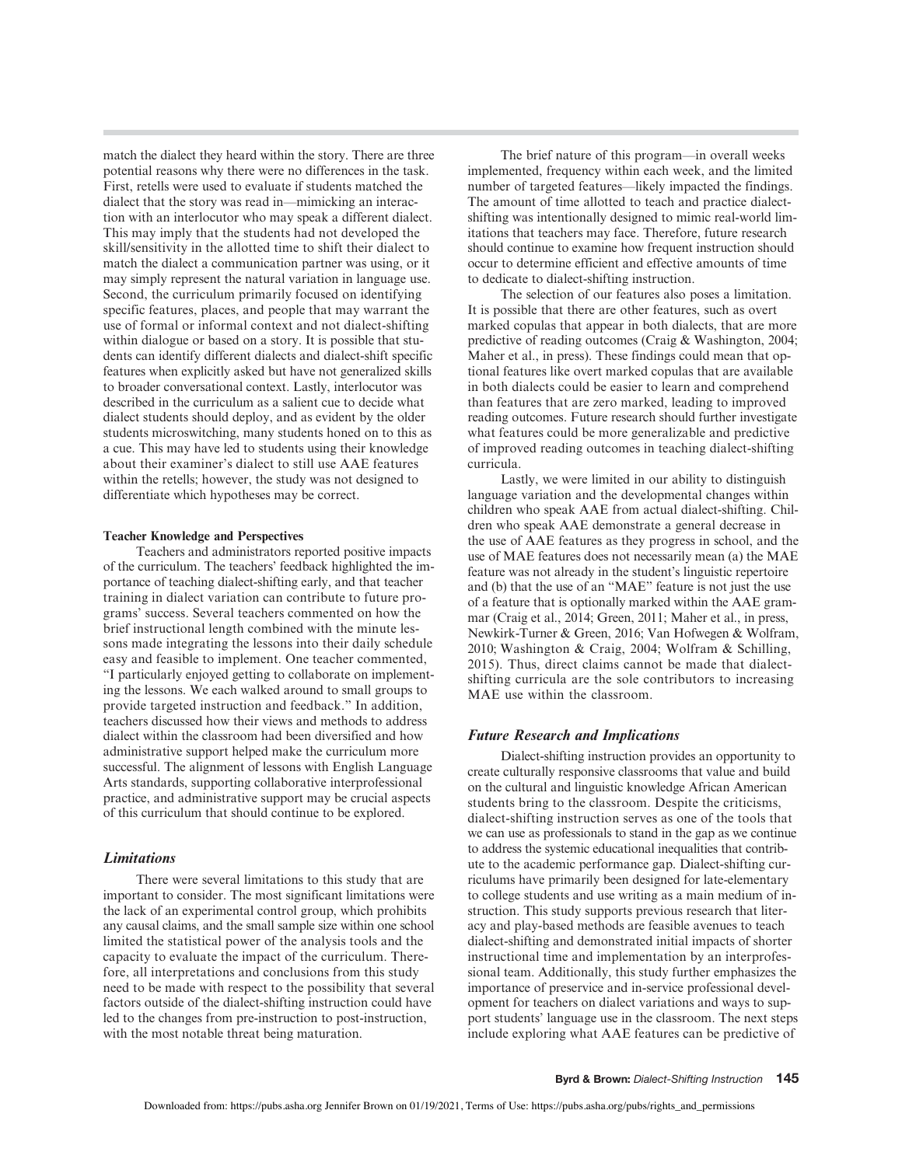match the dialect they heard within the story. There are three potential reasons why there were no differences in the task. First, retells were used to evaluate if students matched the dialect that the story was read in—mimicking an interaction with an interlocutor who may speak a different dialect. This may imply that the students had not developed the skill/sensitivity in the allotted time to shift their dialect to match the dialect a communication partner was using, or it may simply represent the natural variation in language use. Second, the curriculum primarily focused on identifying specific features, places, and people that may warrant the use of formal or informal context and not dialect-shifting within dialogue or based on a story. It is possible that students can identify different dialects and dialect-shift specific features when explicitly asked but have not generalized skills to broader conversational context. Lastly, interlocutor was described in the curriculum as a salient cue to decide what dialect students should deploy, and as evident by the older students microswitching, many students honed on to this as a cue. This may have led to students using their knowledge about their examiner's dialect to still use AAE features within the retells; however, the study was not designed to differentiate which hypotheses may be correct.

#### Teacher Knowledge and Perspectives

Teachers and administrators reported positive impacts of the curriculum. The teachers' feedback highlighted the importance of teaching dialect-shifting early, and that teacher training in dialect variation can contribute to future programs' success. Several teachers commented on how the brief instructional length combined with the minute lessons made integrating the lessons into their daily schedule easy and feasible to implement. One teacher commented, "I particularly enjoyed getting to collaborate on implementing the lessons. We each walked around to small groups to provide targeted instruction and feedback." In addition, teachers discussed how their views and methods to address dialect within the classroom had been diversified and how administrative support helped make the curriculum more successful. The alignment of lessons with English Language Arts standards, supporting collaborative interprofessional practice, and administrative support may be crucial aspects of this curriculum that should continue to be explored.

#### Limitations

There were several limitations to this study that are important to consider. The most significant limitations were the lack of an experimental control group, which prohibits any causal claims, and the small sample size within one school limited the statistical power of the analysis tools and the capacity to evaluate the impact of the curriculum. Therefore, all interpretations and conclusions from this study need to be made with respect to the possibility that several factors outside of the dialect-shifting instruction could have led to the changes from pre-instruction to post-instruction, with the most notable threat being maturation.

The brief nature of this program—in overall weeks implemented, frequency within each week, and the limited number of targeted features—likely impacted the findings. The amount of time allotted to teach and practice dialectshifting was intentionally designed to mimic real-world limitations that teachers may face. Therefore, future research should continue to examine how frequent instruction should occur to determine efficient and effective amounts of time to dedicate to dialect-shifting instruction.

The selection of our features also poses a limitation. It is possible that there are other features, such as overt marked copulas that appear in both dialects, that are more predictive of reading outcomes (Craig & Washington, 2004; Maher et al., in press). These findings could mean that optional features like overt marked copulas that are available in both dialects could be easier to learn and comprehend than features that are zero marked, leading to improved reading outcomes. Future research should further investigate what features could be more generalizable and predictive of improved reading outcomes in teaching dialect-shifting curricula.

Lastly, we were limited in our ability to distinguish language variation and the developmental changes within children who speak AAE from actual dialect-shifting. Children who speak AAE demonstrate a general decrease in the use of AAE features as they progress in school, and the use of MAE features does not necessarily mean (a) the MAE feature was not already in the student's linguistic repertoire and (b) that the use of an "MAE" feature is not just the use of a feature that is optionally marked within the AAE grammar (Craig et al., 2014; Green, 2011; Maher et al., in press, Newkirk-Turner & Green, 2016; Van Hofwegen & Wolfram, 2010; Washington & Craig, 2004; Wolfram & Schilling, 2015). Thus, direct claims cannot be made that dialectshifting curricula are the sole contributors to increasing MAE use within the classroom.

#### Future Research and Implications

Dialect-shifting instruction provides an opportunity to create culturally responsive classrooms that value and build on the cultural and linguistic knowledge African American students bring to the classroom. Despite the criticisms, dialect-shifting instruction serves as one of the tools that we can use as professionals to stand in the gap as we continue to address the systemic educational inequalities that contribute to the academic performance gap. Dialect-shifting curriculums have primarily been designed for late-elementary to college students and use writing as a main medium of instruction. This study supports previous research that literacy and play-based methods are feasible avenues to teach dialect-shifting and demonstrated initial impacts of shorter instructional time and implementation by an interprofessional team. Additionally, this study further emphasizes the importance of preservice and in-service professional development for teachers on dialect variations and ways to support students' language use in the classroom. The next steps include exploring what AAE features can be predictive of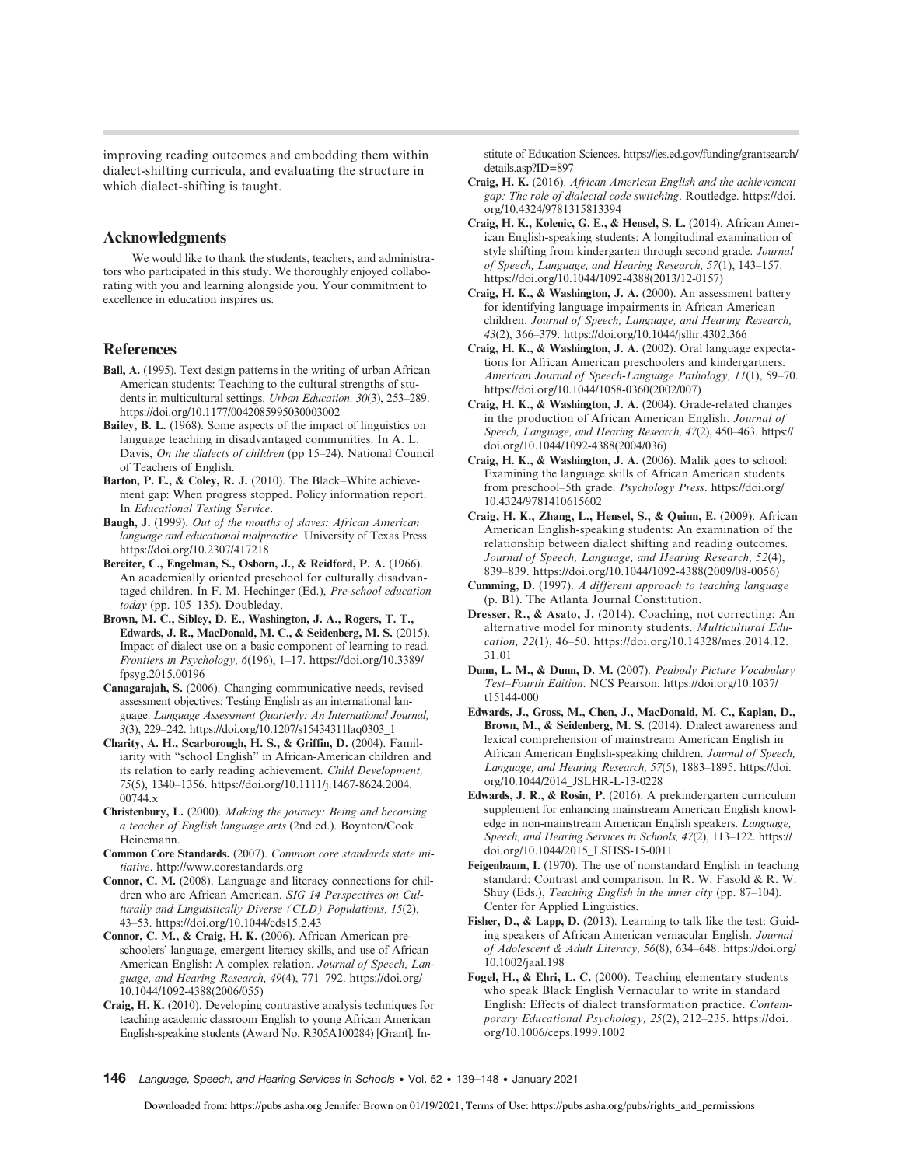improving reading outcomes and embedding them within dialect-shifting curricula, and evaluating the structure in which dialect-shifting is taught.

#### Acknowledgments

We would like to thank the students, teachers, and administrators who participated in this study. We thoroughly enjoyed collaborating with you and learning alongside you. Your commitment to excellence in education inspires us.

#### References

- Ball, A. (1995). Text design patterns in the writing of urban African American students: Teaching to the cultural strengths of students in multicultural settings. Urban Education, 30(3), 253–289. <https://doi.org/10.1177/0042085995030003002>
- Bailey, B. L. (1968). Some aspects of the impact of linguistics on language teaching in disadvantaged communities. In A. L. Davis, On the dialects of children (pp 15–24). National Council of Teachers of English.
- Barton, P. E., & Coley, R. J. (2010). The Black–White achievement gap: When progress stopped. Policy information report. In Educational Testing Service.
- Baugh, J. (1999). Out of the mouths of slaves: African American language and educational malpractice. University of Texas Press. <https://doi.org/10.2307/417218>
- Bereiter, C., Engelman, S., Osborn, J., & Reidford, P. A. (1966). An academically oriented preschool for culturally disadvantaged children. In F. M. Hechinger (Ed.), Pre-school education today (pp. 105–135). Doubleday.
- Brown, M. C., Sibley, D. E., Washington, J. A., Rogers, T. T., Edwards, J. R., MacDonald, M. C., & Seidenberg, M. S. (2015). Impact of dialect use on a basic component of learning to read. Frontiers in Psychology, 6(196), 1–17. [https://doi.org/10.3389/](https://doi.org/10.3389/fpsyg.2015.00196) [fpsyg.2015.00196](https://doi.org/10.3389/fpsyg.2015.00196)
- Canagarajah, S. (2006). Changing communicative needs, revised assessment objectives: Testing English as an international language. Language Assessment Quarterly: An International Journal, 3(3), 229–242. [https://doi.org/10.1207/s15434311laq0303\\_1](https://doi.org/10.1207/s15434311laq0303_1)
- Charity, A. H., Scarborough, H. S., & Griffin, D. (2004). Familiarity with "school English" in African-American children and its relation to early reading achievement. Child Development, 75(5), 1340–1356. [https://doi.org/10.1111/j.1467-8624.2004.](https://doi.org/10.1111/j.1467-8624.2004.00744.x) [00744.x](https://doi.org/10.1111/j.1467-8624.2004.00744.x)
- Christenbury, L. (2000). Making the journey: Being and becoming a teacher of English language arts (2nd ed.). Boynton/Cook Heinemann.
- Common Core Standards. (2007). Common core standards state initiative.<http://www.corestandards.org>
- Connor, C. M. (2008). Language and literacy connections for children who are African American. SIG 14 Perspectives on Culturally and Linguistically Diverse (CLD) Populations, 15(2), 43–53.<https://doi.org/10.1044/cds15.2.43>
- Connor, C. M., & Craig, H. K. (2006). African American preschoolers' language, emergent literacy skills, and use of African American English: A complex relation. Journal of Speech, Language, and Hearing Research, 49(4), 771–792. [https://doi.org/](https://doi.org/10.1044/1092-4388(2006/055)) [10.1044/1092-4388\(2006/055\)](https://doi.org/10.1044/1092-4388(2006/055))
- Craig, H. K. (2010). Developing contrastive analysis techniques for teaching academic classroom English to young African American English-speaking students (Award No. R305A100284) [Grant]. In-

stitute of Education Sciences. [https://ies.ed.gov/funding/grantsearch/](https://ies.ed.gov/funding/grantsearch/details.asp?ID=897) [details.asp?ID=897](https://ies.ed.gov/funding/grantsearch/details.asp?ID=897)

- Craig, H. K. (2016). African American English and the achievement gap: The role of dialectal code switching. Routledge. [https://doi.](https://doi.org/10.4324/9781315813394) [org/10.4324/9781315813394](https://doi.org/10.4324/9781315813394)
- Craig, H. K., Kolenic, G. E., & Hensel, S. L. (2014). African American English-speaking students: A longitudinal examination of style shifting from kindergarten through second grade. Journal of Speech, Language, and Hearing Research, 57(1), 143–157. [https://doi.org/10.1044/1092-4388\(2013/12-0157\)](https://doi.org/10.1044/1092-4388(2013/12-0157))
- Craig, H. K., & Washington, J. A. (2000). An assessment battery for identifying language impairments in African American children. Journal of Speech, Language, and Hearing Research, 43(2), 366–379.<https://doi.org/10.1044/jslhr.4302.366>
- Craig, H. K., & Washington, J. A. (2002). Oral language expectations for African American preschoolers and kindergartners. American Journal of Speech-Language Pathology, 11(1), 59–70. [https://doi.org/10.1044/1058-0360\(2002/007\)](https://doi.org/10.1044/1058-0360(2002/007))
- Craig, H. K., & Washington, J. A. (2004). Grade-related changes in the production of African American English. Journal of Speech, Language, and Hearing Research, 47(2), 450–463. [https://](https://doi.org/10.1044/1092-4388(2004/036)) [doi.org/10.1044/1092-4388\(2004/036\)](https://doi.org/10.1044/1092-4388(2004/036))
- Craig, H. K., & Washington, J. A. (2006). Malik goes to school: Examining the language skills of African American students from preschool–5th grade. Psychology Press. [https://doi.org/](https://doi.org/10.4324/9781410615602) [10.4324/9781410615602](https://doi.org/10.4324/9781410615602)
- Craig, H. K., Zhang, L., Hensel, S., & Quinn, E. (2009). African American English-speaking students: An examination of the relationship between dialect shifting and reading outcomes. Journal of Speech, Language, and Hearing Research, 52(4), 839–839. [https://doi.org/10.1044/1092-4388\(2009/08-0056\)](https://doi.org/10.1044/1092-4388(2009/08-0056))
- Cumming, D. (1997). A different approach to teaching language (p. B1). The Atlanta Journal Constitution.
- Dresser, R., & Asato, J. (2014). Coaching, not correcting: An alternative model for minority students. Multicultural Education, 22(1), 46–50. [https://doi.org/10.14328/mes.2014.12.](https://doi.org/10.14328/mes.2014.12.31.01) [31.01](https://doi.org/10.14328/mes.2014.12.31.01)
- Dunn, L. M., & Dunn, D. M. (2007). Peabody Picture Vocabulary Test–Fourth Edition. NCS Pearson. [https://doi.org/10.1037/](https://doi.org/10.1037/t15144-000) [t15144-000](https://doi.org/10.1037/t15144-000)
- Edwards, J., Gross, M., Chen, J., MacDonald, M. C., Kaplan, D., Brown, M., & Seidenberg, M. S. (2014). Dialect awareness and lexical comprehension of mainstream American English in African American English-speaking children. Journal of Speech, Language, and Hearing Research, 57(5), 1883–1895. [https://doi.](https://doi.org/10.1044/2014_JSLHR-L-13-0228) [org/10.1044/2014\\_JSLHR-L-13-0228](https://doi.org/10.1044/2014_JSLHR-L-13-0228)
- Edwards, J. R., & Rosin, P. (2016). A prekindergarten curriculum supplement for enhancing mainstream American English knowledge in non-mainstream American English speakers. Language, Speech, and Hearing Services in Schools, 47(2), 113–122. [https://](https://doi.org/10.1044/2015_LSHSS-15-0011) [doi.org/10.1044/2015\\_LSHSS-15-0011](https://doi.org/10.1044/2015_LSHSS-15-0011)
- Feigenbaum, I. (1970). The use of nonstandard English in teaching standard: Contrast and comparison. In R. W. Fasold & R. W. Shuy (Eds.), Teaching English in the inner city (pp. 87-104). Center for Applied Linguistics.
- Fisher, D., & Lapp, D. (2013). Learning to talk like the test: Guiding speakers of African American vernacular English. Journal of Adolescent & Adult Literacy, 56(8), 634–648. [https://doi.org/](https://doi.org/10.1002/jaal.198) [10.1002/jaal.198](https://doi.org/10.1002/jaal.198)
- Fogel, H., & Ehri, L. C. (2000). Teaching elementary students who speak Black English Vernacular to write in standard English: Effects of dialect transformation practice. Contemporary Educational Psychology, 25(2), 212–235. [https://doi.](https://doi.org/10.1006/ceps.1999.1002) [org/10.1006/ceps.1999.1002](https://doi.org/10.1006/ceps.1999.1002)
- 146 Language, Speech, and Hearing Services in Schools Vol. 52 139–148 January 2021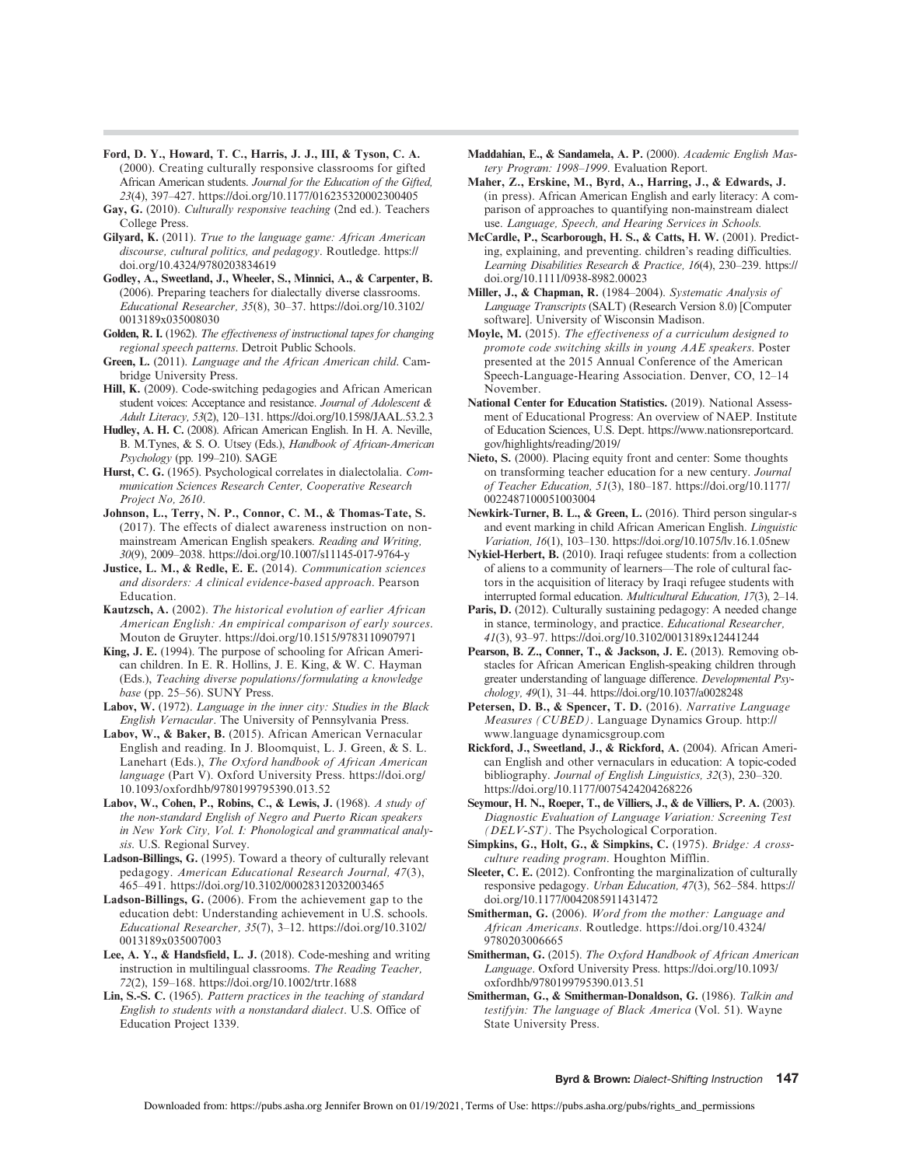- Ford, D. Y., Howard, T. C., Harris, J. J., III, & Tyson, C. A. (2000). Creating culturally responsive classrooms for gifted African American students. Journal for the Education of the Gifted, 23(4), 397–427.<https://doi.org/10.1177/016235320002300405>
- Gay, G. (2010). Culturally responsive teaching (2nd ed.). Teachers College Press.
- Gilyard, K. (2011). True to the language game: African American discourse, cultural politics, and pedagogy. Routledge. [https://](https://doi.org/10.4324/9780203834619) [doi.org/10.4324/9780203834619](https://doi.org/10.4324/9780203834619)
- Godley, A., Sweetland, J., Wheeler, S., Minnici, A., & Carpenter, B. (2006). Preparing teachers for dialectally diverse classrooms. Educational Researcher, 35(8), 30–37. [https://doi.org/10.3102/](https://doi.org/10.3102/0013189x035008030) [0013189x035008030](https://doi.org/10.3102/0013189x035008030)
- Golden, R. I. (1962). The effectiveness of instructional tapes for changing regional speech patterns. Detroit Public Schools.
- Green, L. (2011). Language and the African American child. Cambridge University Press.
- Hill, K. (2009). Code-switching pedagogies and African American student voices: Acceptance and resistance. Journal of Adolescent & Adult Literacy, 53(2), 120–131.<https://doi.org/10.1598/JAAL.53.2.3>
- Hudley, A. H. C. (2008). African American English. In H. A. Neville, B. M.Tynes, & S. O. Utsey (Eds.), Handbook of African-American Psychology (pp. 199-210). SAGE
- Hurst, C. G. (1965). Psychological correlates in dialectolalia. Communication Sciences Research Center, Cooperative Research Project No, 2610.
- Johnson, L., Terry, N. P., Connor, C. M., & Thomas-Tate, S. (2017). The effects of dialect awareness instruction on nonmainstream American English speakers. Reading and Writing, 30(9), 2009–2038.<https://doi.org/10.1007/s11145-017-9764-y>
- Justice, L. M., & Redle, E. E. (2014). Communication sciences and disorders: A clinical evidence-based approach. Pearson Education.
- Kautzsch, A. (2002). The historical evolution of earlier African American English: An empirical comparison of early sources. Mouton de Gruyter.<https://doi.org/10.1515/9783110907971>
- King, J. E. (1994). The purpose of schooling for African American children. In E. R. Hollins, J. E. King, & W. C. Hayman (Eds.), Teaching diverse populations/formulating a knowledge base (pp. 25–56). SUNY Press.
- Labov, W. (1972). Language in the inner city: Studies in the Black English Vernacular. The University of Pennsylvania Press.
- Labov, W., & Baker, B. (2015). African American Vernacular English and reading. In J. Bloomquist, L. J. Green, & S. L. Lanehart (Eds.), The Oxford handbook of African American language (Part V). Oxford University Press. [https://doi.org/](https://doi.org/10.1093/oxfordhb/9780199795390.013.52) [10.1093/oxfordhb/9780199795390.013.52](https://doi.org/10.1093/oxfordhb/9780199795390.013.52)
- Labov, W., Cohen, P., Robins, C., & Lewis, J. (1968). A study of the non-standard English of Negro and Puerto Rican speakers in New York City, Vol. I: Phonological and grammatical analysis. U.S. Regional Survey.
- Ladson-Billings, G. (1995). Toward a theory of culturally relevant pedagogy. American Educational Research Journal, 47(3), 465–491.<https://doi.org/10.3102/00028312032003465>
- Ladson-Billings, G. (2006). From the achievement gap to the education debt: Understanding achievement in U.S. schools. Educational Researcher, 35(7), 3–12. [https://doi.org/10.3102/](https://doi.org/10.3102/0013189x035007003) [0013189x035007003](https://doi.org/10.3102/0013189x035007003)
- Lee, A. Y., & Handsfield, L. J. (2018). Code-meshing and writing instruction in multilingual classrooms. The Reading Teacher, 72(2), 159–168.<https://doi.org/10.1002/trtr.1688>
- Lin, S.-S. C. (1965). Pattern practices in the teaching of standard English to students with a nonstandard dialect. U.S. Office of Education Project 1339.
- Maddahian, E., & Sandamela, A. P. (2000). Academic English Mastery Program: 1998–1999. Evaluation Report.
- Maher, Z., Erskine, M., Byrd, A., Harring, J., & Edwards, J. (in press). African American English and early literacy: A comparison of approaches to quantifying non-mainstream dialect use. Language, Speech, and Hearing Services in Schools.
- McCardle, P., Scarborough, H. S., & Catts, H. W. (2001). Predicting, explaining, and preventing. children's reading difficulties. Learning Disabilities Research & Practice, 16(4), 230–239. [https://](https://doi.org/10.1111/0938-8982.00023) [doi.org/10.1111/0938-8982.00023](https://doi.org/10.1111/0938-8982.00023)
- Miller, J., & Chapman, R. (1984–2004). Systematic Analysis of Language Transcripts (SALT) (Research Version 8.0) [Computer software]. University of Wisconsin Madison.
- Moyle, M. (2015). The effectiveness of a curriculum designed to promote code switching skills in young AAE speakers. Poster presented at the 2015 Annual Conference of the American Speech-Language-Hearing Association. Denver, CO, 12–14 November.
- National Center for Education Statistics. (2019). National Assessment of Educational Progress: An overview of NAEP. Institute of Education Sciences, U.S. Dept. [https://www.nationsreportcard.](https://www.nationsreportcard.gov/highlights/reading/2019/) [gov/highlights/reading/2019/](https://www.nationsreportcard.gov/highlights/reading/2019/)
- Nieto, S. (2000). Placing equity front and center: Some thoughts on transforming teacher education for a new century. Journal of Teacher Education, 51(3), 180–187. [https://doi.org/10.1177/](https://doi.org/10.1177/0022487100051003004) [0022487100051003004](https://doi.org/10.1177/0022487100051003004)
- Newkirk-Turner, B. L., & Green, L. (2016). Third person singular-s and event marking in child African American English. Linguistic Variation, 16(1), 103–130.<https://doi.org/10.1075/lv.16.1.05new>
- Nykiel-Herbert, B. (2010). Iraqi refugee students: from a collection of aliens to a community of learners—The role of cultural factors in the acquisition of literacy by Iraqi refugee students with interrupted formal education. Multicultural Education, 17(3), 2–14.
- Paris, D. (2012). Culturally sustaining pedagogy: A needed change in stance, terminology, and practice. Educational Researcher, 41(3), 93–97.<https://doi.org/10.3102/0013189x12441244>
- Pearson, B. Z., Conner, T., & Jackson, J. E. (2013). Removing obstacles for African American English-speaking children through greater understanding of language difference. Developmental Psychology, 49(1), 31–44.<https://doi.org/10.1037/a0028248>
- Petersen, D. B., & Spencer, T. D. (2016). Narrative Language Measures (CUBED). Language Dynamics Group. [http://](http://www.language) [www.language](http://www.language) [dynamicsgroup.com](http://dynamicsgroup.com)
- Rickford, J., Sweetland, J., & Rickford, A. (2004). African American English and other vernaculars in education: A topic-coded bibliography. Journal of English Linguistics, 32(3), 230–320. <https://doi.org/10.1177/0075424204268226>
- Seymour, H. N., Roeper, T., de Villiers, J., & de Villiers, P. A. (2003). Diagnostic Evaluation of Language Variation: Screening Test (DELV-ST). The Psychological Corporation.
- Simpkins, G., Holt, G., & Simpkins, C. (1975). Bridge: A crossculture reading program. Houghton Mifflin.
- Sleeter, C. E. (2012). Confronting the marginalization of culturally responsive pedagogy. Urban Education, 47(3), 562–584. [https://](https://doi.org/10.1177/0042085911431472) [doi.org/10.1177/0042085911431472](https://doi.org/10.1177/0042085911431472)
- Smitherman, G. (2006). Word from the mother: Language and African Americans. Routledge. [https://doi.org/10.4324/](https://doi.org/10.4324/9780203006665) [9780203006665](https://doi.org/10.4324/9780203006665)
- Smitherman, G. (2015). The Oxford Handbook of African American Language. Oxford University Press. [https://doi.org/10.1093/](https://doi.org/10.1093/oxfordhb/9780199795390.013.51) [oxfordhb/9780199795390.013.51](https://doi.org/10.1093/oxfordhb/9780199795390.013.51)
- Smitherman, G., & Smitherman-Donaldson, G. (1986). Talkin and testifyin: The language of Black America (Vol. 51). Wayne State University Press.

Byrd & Brown: Dialect-Shifting Instruction 147